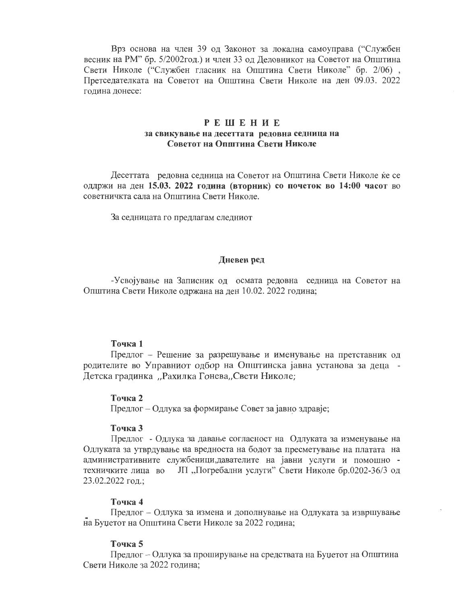Врз основа на член 39 од Законот за локална самоуправа ("Службен весник на РМ" бр. 5/2002год.) и член 33 од Деловникот на Советот на Општина Свети Николе ("Службен гласник на Општина Свети Николе" бр. 2/06), Претседателката на Советот на Општина Свети Николе на ден 09.03. 2022 година донесе:

# **РЕШЕНИЕ** за свикување на десеттата редовна седница на Советот на Општина Свети Николе

Десеттата редовна седница на Советот на Општина Свети Николе ќе се оддржи на ден 15.03. 2022 година (вторник) со почеток во 14:00 часот во советничкта сала на Општина Свети Николе.

За седницата го предлагам следниот

## Дневен ред

-Усвојување на Записник од осмата редовна седница на Советот на Општина Свети Николе одржана на ден 10.02. 2022 година;

### Точка 1

Предлог - Решение за разрешување и именување на претставник од родителите во Управниот одбор на Општинска јавна установа за деца -Детска градинка "Рахилка Гонева"Свети Николе;

### Точка 2

Предлог - Одлука за формирање Совет за јавно здравје;

## Точка 3

Предлог - Одлука за давање согласност на Одлуката за изменување на Одлуката за утврдување на вредноста на бодот за пресметување на платата на административните службеници, давателите на јавни услуги и помошно техничките лица во JII "Погребални услуги" Свети Николе бр.0202-36/3 од 23.02.2022 год.;

### Точка 4

Предлог - Одлука за измена и дополнување на Одлуката за извршување на Буџетот на Општина Свети Николе за 2022 година;

## Точка 5

Предлог – Одлука за проширување на средствата на Буџетот на Општина Свети Николе за 2022 година;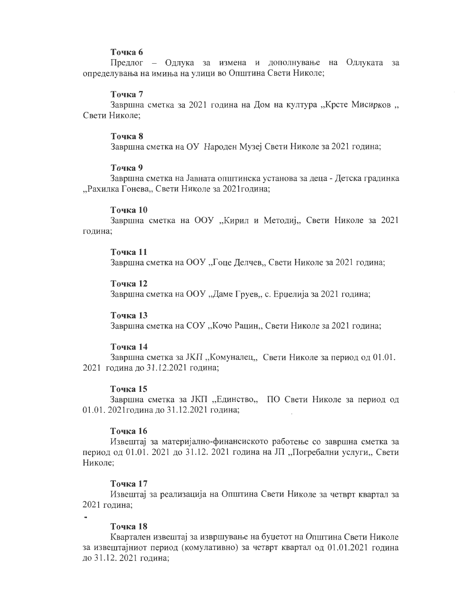## Точка б

Предлог – Одлука за измена и дополнување на Одлуката за определувања на имиња на улици во Општина Свети Николе;

### Точка 7

3авршна сметка за 2021 година на Дом на култура "Крсте Мисирков " Свети Николе:

#### Точка 8

Завршна сметка на ОУ Народен Музеј Свети Николе за 2021 година;

#### Точка 9

Завршна сметка на Јавната општинска установа за деца - Детска градинка "Рахилка Гонева,, Свети Николе за 2021 година;

#### Точка 10

Завршна сметка на ООУ "Кирил и Методиј, Свети Николе за 2021 година;

# Точка 11

Завршна сметка на ООУ "Гоце Делчев,, Свети Николе за 2021 година;

### Точка 12

Завршна сметка на ООУ "Даме Груев,, с. Ерџелија за 2021 година;

# Точка 13

Завршна сметка на СОУ "Кочо Рацин,, Свети Николе за 2021 година;

### Точка 14

Завршна сметка за ЈКП "Комуналец, Свети Николе за период од 01.01. 2021 година до 31.12.2021 година;

## Точка 15

Завршна сметка за ЈКП "Единство, ПО Свети Николе за период од 01.01. 2021 година до 31.12.2021 година;

### Точка 16

Извештај за материјално-финансиското работење со завршна сметка за период од 01.01. 2021 до 31.12. 2021 година на ЈП "Погребални услуги, Свети Николе:

## Точка 17

Извештај за реализација на Општина Свети Николе за четврт квартал за 2021 година:

## Точка 18

Квартален извештај за извршување на буџетот на Општина Свети Николе за извештајниот период (комулативно) за четврт квартал од 01.01.2021 година до 31.12. 2021 година: